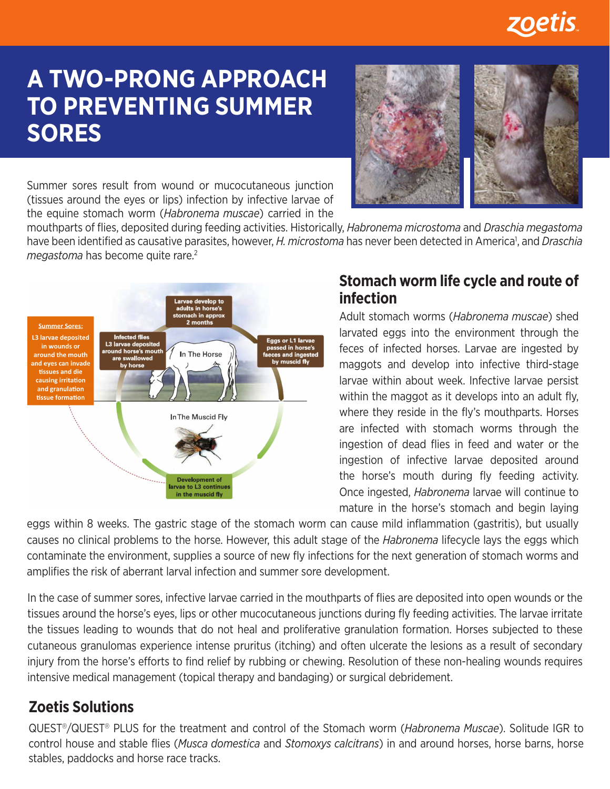

# **A TWO-PRONG APPROACH TO PREVENTING SUMMER SORES**



Summer sores result from wound or mucocutaneous junction (tissues around the eyes or lips) infection by infective larvae of the equine stomach worm (*Habronema muscae*) carried in the

mouthparts of flies, deposited during feeding activities. Historically, *Habronema microstoma* and *Draschia megastoma* have been identified as causative parasites, however, *H. microstoma* has never been detected in America<sup>1</sup>, and *Draschia megastoma* has become quite rare.<sup>2</sup>



#### **Stomach worm life cycle and route of infection**

Adult stomach worms (*Habronema muscae*) shed larvated eggs into the environment through the feces of infected horses. Larvae are ingested by maggots and develop into infective third-stage larvae within about week. Infective larvae persist within the maggot as it develops into an adult fly, where they reside in the fly's mouthparts. Horses are infected with stomach worms through the ingestion of dead flies in feed and water or the ingestion of infective larvae deposited around the horse's mouth during fly feeding activity. Once ingested, *Habronema* larvae will continue to mature in the horse's stomach and begin laying

eggs within 8 weeks. The gastric stage of the stomach worm can cause mild inflammation (gastritis), but usually causes no clinical problems to the horse. However, this adult stage of the *Habronema* lifecycle lays the eggs which contaminate the environment, supplies a source of new fly infections for the next generation of stomach worms and amplifies the risk of aberrant larval infection and summer sore development.

In the case of summer sores, infective larvae carried in the mouthparts of flies are deposited into open wounds or the tissues around the horse's eyes, lips or other mucocutaneous junctions during fly feeding activities. The larvae irritate the tissues leading to wounds that do not heal and proliferative granulation formation. Horses subjected to these cutaneous granulomas experience intense pruritus (itching) and often ulcerate the lesions as a result of secondary injury from the horse's efforts to find relief by rubbing or chewing. Resolution of these non-healing wounds requires intensive medical management (topical therapy and bandaging) or surgical debridement.

## **Zoetis Solutions**

QUEST*®*/QUEST*®* PLUS for the treatment and control of the Stomach worm (*Habronema Muscae*). Solitude IGR to control house and stable flies (*Musca domestica* and *Stomoxys calcitrans*) in and around horses, horse barns, horse stables, paddocks and horse race tracks.